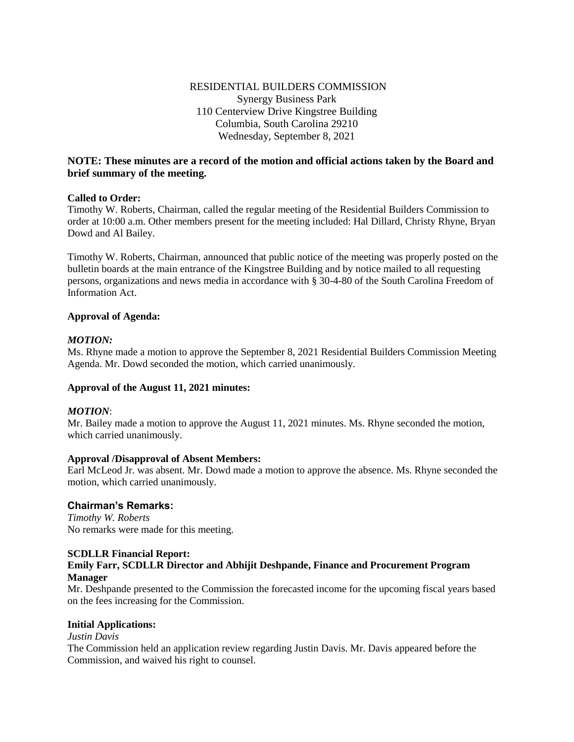# RESIDENTIAL BUILDERS COMMISSION Synergy Business Park 110 Centerview Drive Kingstree Building Columbia, South Carolina 29210 Wednesday, September 8, 2021

# **NOTE: These minutes are a record of the motion and official actions taken by the Board and brief summary of the meeting.**

### **Called to Order:**

Timothy W. Roberts, Chairman, called the regular meeting of the Residential Builders Commission to order at 10:00 a.m. Other members present for the meeting included: Hal Dillard, Christy Rhyne, Bryan Dowd and Al Bailey.

Timothy W. Roberts, Chairman, announced that public notice of the meeting was properly posted on the bulletin boards at the main entrance of the Kingstree Building and by notice mailed to all requesting persons, organizations and news media in accordance with § 30-4-80 of the South Carolina Freedom of Information Act.

### **Approval of Agenda:**

### *MOTION:*

Ms. Rhyne made a motion to approve the September 8, 2021 Residential Builders Commission Meeting Agenda. Mr. Dowd seconded the motion, which carried unanimously.

#### **Approval of the August 11, 2021 minutes:**

#### *MOTION*:

Mr. Bailey made a motion to approve the August 11, 2021 minutes. Ms. Rhyne seconded the motion, which carried unanimously.

### **Approval /Disapproval of Absent Members:**

Earl McLeod Jr. was absent. Mr. Dowd made a motion to approve the absence. Ms. Rhyne seconded the motion, which carried unanimously.

### **Chairman's Remarks:**

*Timothy W. Roberts*  No remarks were made for this meeting.

### **SCDLLR Financial Report:**

### **Emily Farr, SCDLLR Director and Abhijit Deshpande, Finance and Procurement Program Manager**

Mr. Deshpande presented to the Commission the forecasted income for the upcoming fiscal years based on the fees increasing for the Commission.

#### **Initial Applications:**

#### *Justin Davis*

The Commission held an application review regarding Justin Davis. Mr. Davis appeared before the Commission, and waived his right to counsel.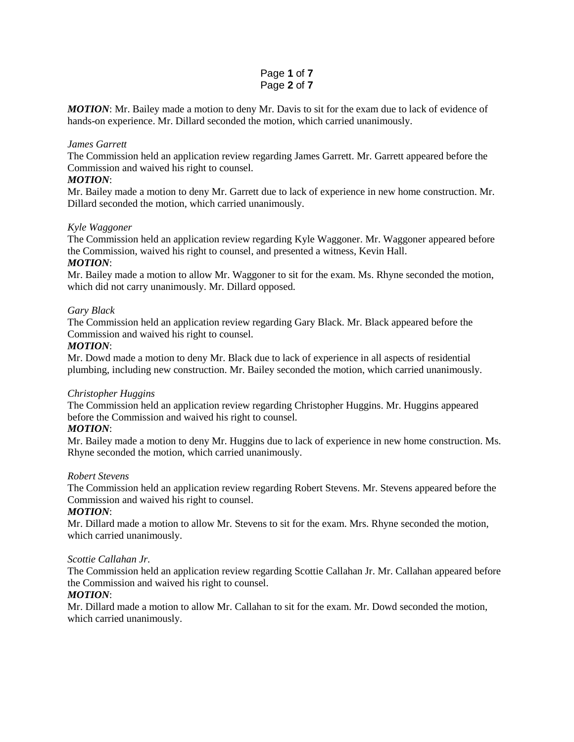# Page **1** of **7** Page **2** of **7**

*MOTION*: Mr. Bailey made a motion to deny Mr. Davis to sit for the exam due to lack of evidence of hands-on experience. Mr. Dillard seconded the motion, which carried unanimously.

### *James Garrett*

The Commission held an application review regarding James Garrett. Mr. Garrett appeared before the Commission and waived his right to counsel.

### *MOTION*:

Mr. Bailey made a motion to deny Mr. Garrett due to lack of experience in new home construction. Mr. Dillard seconded the motion, which carried unanimously.

### *Kyle Waggoner*

The Commission held an application review regarding Kyle Waggoner. Mr. Waggoner appeared before the Commission, waived his right to counsel, and presented a witness, Kevin Hall.

### *MOTION*:

Mr. Bailey made a motion to allow Mr. Waggoner to sit for the exam. Ms. Rhyne seconded the motion, which did not carry unanimously. Mr. Dillard opposed.

### *Gary Black*

The Commission held an application review regarding Gary Black. Mr. Black appeared before the Commission and waived his right to counsel.

### *MOTION*:

Mr. Dowd made a motion to deny Mr. Black due to lack of experience in all aspects of residential plumbing, including new construction. Mr. Bailey seconded the motion, which carried unanimously.

### *Christopher Huggins*

The Commission held an application review regarding Christopher Huggins. Mr. Huggins appeared before the Commission and waived his right to counsel.

### *MOTION*:

Mr. Bailey made a motion to deny Mr. Huggins due to lack of experience in new home construction. Ms. Rhyne seconded the motion, which carried unanimously.

#### *Robert Stevens*

The Commission held an application review regarding Robert Stevens. Mr. Stevens appeared before the Commission and waived his right to counsel.

### *MOTION*:

Mr. Dillard made a motion to allow Mr. Stevens to sit for the exam. Mrs. Rhyne seconded the motion, which carried unanimously.

### *Scottie Callahan Jr.*

The Commission held an application review regarding Scottie Callahan Jr. Mr. Callahan appeared before the Commission and waived his right to counsel.

### *MOTION*:

Mr. Dillard made a motion to allow Mr. Callahan to sit for the exam. Mr. Dowd seconded the motion, which carried unanimously.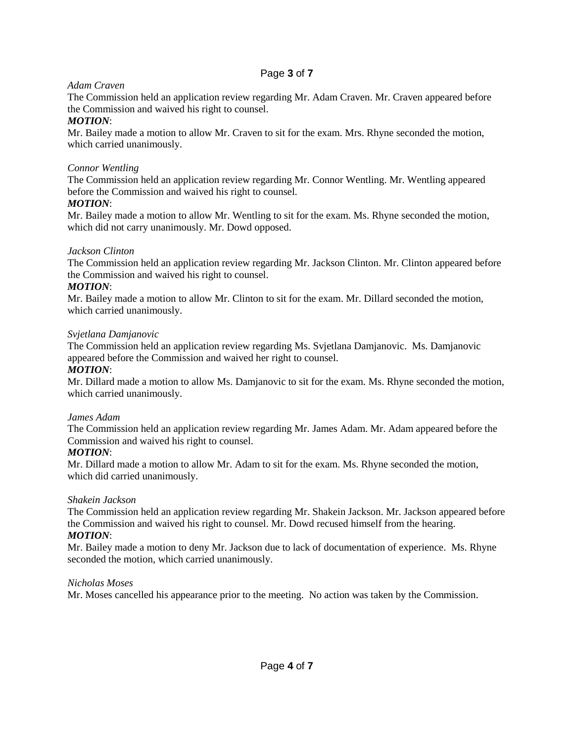# Page **3** of **7**

# *Adam Craven*

The Commission held an application review regarding Mr. Adam Craven. Mr. Craven appeared before the Commission and waived his right to counsel.

# *MOTION*:

Mr. Bailey made a motion to allow Mr. Craven to sit for the exam. Mrs. Rhyne seconded the motion, which carried unanimously.

# *Connor Wentling*

The Commission held an application review regarding Mr. Connor Wentling. Mr. Wentling appeared before the Commission and waived his right to counsel.

# *MOTION*:

Mr. Bailey made a motion to allow Mr. Wentling to sit for the exam. Ms. Rhyne seconded the motion, which did not carry unanimously. Mr. Dowd opposed.

# *Jackson Clinton*

The Commission held an application review regarding Mr. Jackson Clinton. Mr. Clinton appeared before the Commission and waived his right to counsel.

# *MOTION*:

Mr. Bailey made a motion to allow Mr. Clinton to sit for the exam. Mr. Dillard seconded the motion, which carried unanimously.

# *Svjetlana Damjanovic*

The Commission held an application review regarding Ms. Svjetlana Damjanovic. Ms. Damjanovic appeared before the Commission and waived her right to counsel.

# *MOTION*:

Mr. Dillard made a motion to allow Ms. Damjanovic to sit for the exam. Ms. Rhyne seconded the motion, which carried unanimously.

# *James Adam*

The Commission held an application review regarding Mr. James Adam. Mr. Adam appeared before the Commission and waived his right to counsel.

# *MOTION*:

Mr. Dillard made a motion to allow Mr. Adam to sit for the exam. Ms. Rhyne seconded the motion, which did carried unanimously.

# *Shakein Jackson*

The Commission held an application review regarding Mr. Shakein Jackson. Mr. Jackson appeared before the Commission and waived his right to counsel. Mr. Dowd recused himself from the hearing. *MOTION*:

Mr. Bailey made a motion to deny Mr. Jackson due to lack of documentation of experience. Ms. Rhyne seconded the motion, which carried unanimously.

# *Nicholas Moses*

Mr. Moses cancelled his appearance prior to the meeting. No action was taken by the Commission.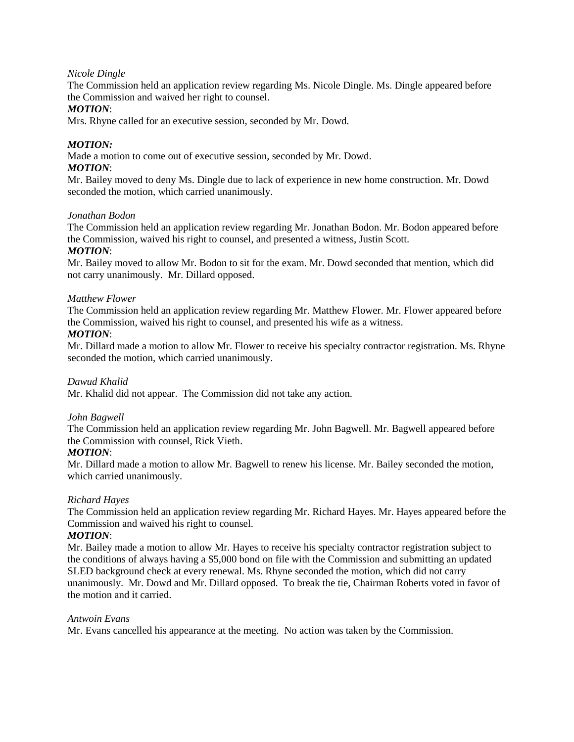### *Nicole Dingle*

The Commission held an application review regarding Ms. Nicole Dingle. Ms. Dingle appeared before the Commission and waived her right to counsel.

### *MOTION*:

Mrs. Rhyne called for an executive session, seconded by Mr. Dowd.

### *MOTION:*

Made a motion to come out of executive session, seconded by Mr. Dowd. *MOTION*:

### Mr. Bailey moved to deny Ms. Dingle due to lack of experience in new home construction. Mr. Dowd seconded the motion, which carried unanimously.

### *Jonathan Bodon*

The Commission held an application review regarding Mr. Jonathan Bodon. Mr. Bodon appeared before the Commission, waived his right to counsel, and presented a witness, Justin Scott.

### *MOTION*:

Mr. Bailey moved to allow Mr. Bodon to sit for the exam. Mr. Dowd seconded that mention, which did not carry unanimously. Mr. Dillard opposed.

### *Matthew Flower*

The Commission held an application review regarding Mr. Matthew Flower. Mr. Flower appeared before the Commission, waived his right to counsel, and presented his wife as a witness.

### *MOTION*:

Mr. Dillard made a motion to allow Mr. Flower to receive his specialty contractor registration. Ms. Rhyne seconded the motion, which carried unanimously.

### *Dawud Khalid*

Mr. Khalid did not appear. The Commission did not take any action.

### *John Bagwell*

The Commission held an application review regarding Mr. John Bagwell. Mr. Bagwell appeared before the Commission with counsel, Rick Vieth.

#### *MOTION*:

Mr. Dillard made a motion to allow Mr. Bagwell to renew his license. Mr. Bailey seconded the motion, which carried unanimously.

### *Richard Hayes*

The Commission held an application review regarding Mr. Richard Hayes. Mr. Hayes appeared before the Commission and waived his right to counsel.

### *MOTION*:

Mr. Bailey made a motion to allow Mr. Hayes to receive his specialty contractor registration subject to the conditions of always having a \$5,000 bond on file with the Commission and submitting an updated SLED background check at every renewal. Ms. Rhyne seconded the motion, which did not carry unanimously. Mr. Dowd and Mr. Dillard opposed. To break the tie, Chairman Roberts voted in favor of the motion and it carried.

### *Antwoin Evans*

Mr. Evans cancelled his appearance at the meeting. No action was taken by the Commission.